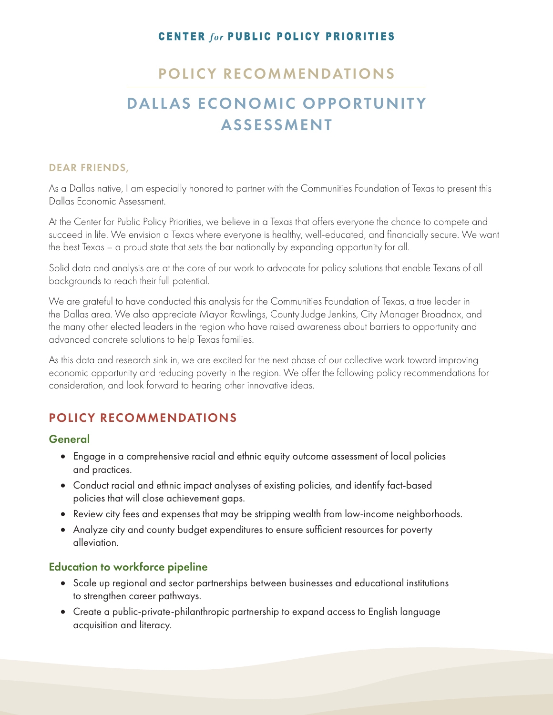### **CENTER for PUBLIC POLICY PRIORITIES**

## POLICY RECOMMENDATIONS

# DALLAS ECONOMIC OPPORTUNITY ASSESSMENT

#### DEAR FRIENDS,

As a Dallas native, I am especially honored to partner with the Communities Foundation of Texas to present this Dallas Economic Assessment.

At the Center for Public Policy Priorities, we believe in a Texas that offers everyone the chance to compete and succeed in life. We envision a Texas where everyone is healthy, well-educated, and financially secure. We want the best Texas – a proud state that sets the bar nationally by expanding opportunity for all.

Solid data and analysis are at the core of our work to advocate for policy solutions that enable Texans of all backgrounds to reach their full potential.

We are grateful to have conducted this analysis for the Communities Foundation of Texas, a true leader in the Dallas area. We also appreciate Mayor Rawlings, County Judge Jenkins, City Manager Broadnax, and the many other elected leaders in the region who have raised awareness about barriers to opportunity and advanced concrete solutions to help Texas families.

As this data and research sink in, we are excited for the next phase of our collective work toward improving economic opportunity and reducing poverty in the region. We offer the following policy recommendations for consideration, and look forward to hearing other innovative ideas.

## POLICY RECOMMENDATIONS

#### General

- Engage in a comprehensive racial and ethnic equity outcome assessment of local policies and practices.
- Conduct racial and ethnic impact analyses of existing policies, and identify fact-based policies that will close achievement gaps.
- Review city fees and expenses that may be stripping wealth from low-income neighborhoods.
- Analyze city and county budget expenditures to ensure sufficient resources for poverty alleviation.

#### Education to workforce pipeline

- • Scale up regional and sector partnerships between businesses and educational institutions to strengthen career pathways.
- • Create a public-private-philanthropic partnership to expand access to English language acquisition and literacy.